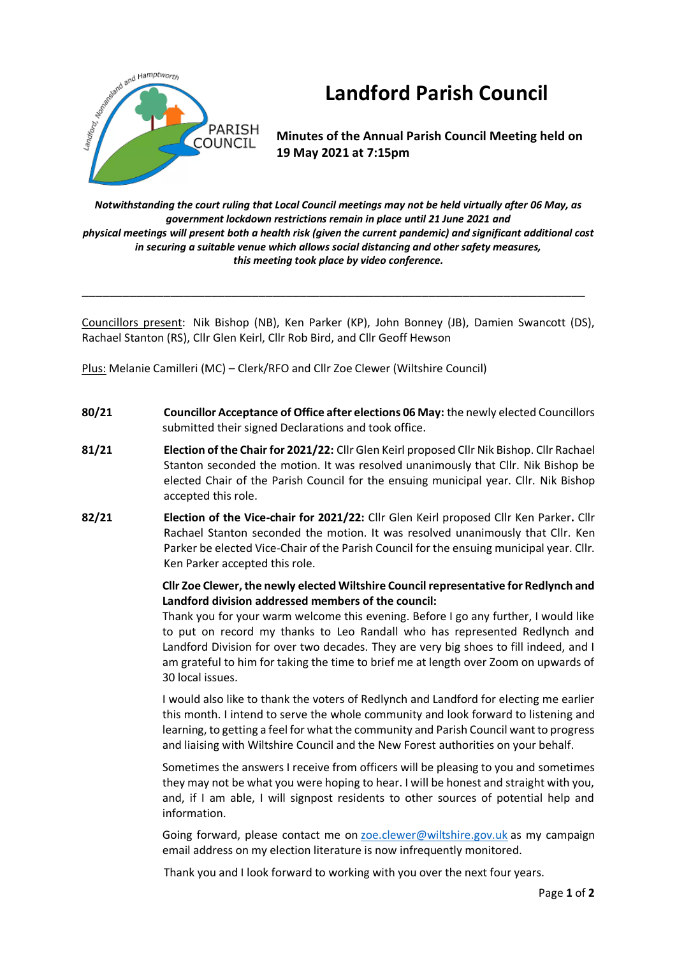

# **Landford Parish Council**

**Minutes of the Annual Parish Council Meeting held on 19 May 2021 at 7:15pm**

*Notwithstanding the court ruling that Local Council meetings may not be held virtually after 06 May, as government lockdown restrictions remain in place until 21 June 2021 and physical meetings will present both a health risk (given the current pandemic) and significant additional cost in securing a suitable venue which allows social distancing and other safety measures, this meeting took place by video conference.*

Councillors present: Nik Bishop (NB), Ken Parker (KP), John Bonney (JB), Damien Swancott (DS), Rachael Stanton (RS), Cllr Glen Keirl, Cllr Rob Bird, and Cllr Geoff Hewson

\_\_\_\_\_\_\_\_\_\_\_\_\_\_\_\_\_\_\_\_\_\_\_\_\_\_\_\_\_\_\_\_\_\_\_\_\_\_\_\_\_\_\_\_\_\_\_\_\_\_\_\_\_\_\_\_\_\_\_\_\_\_\_\_\_\_\_\_\_\_\_\_\_\_

Plus: Melanie Camilleri (MC) – Clerk/RFO and Cllr Zoe Clewer (Wiltshire Council)

- **80/21 Councillor Acceptance of Office after elections 06 May:** the newly elected Councillors submitted their signed Declarations and took office.
- **81/21 Election of the Chair for 2021/22:** Cllr Glen Keirl proposed Cllr Nik Bishop. Cllr Rachael Stanton seconded the motion. It was resolved unanimously that Cllr. Nik Bishop be elected Chair of the Parish Council for the ensuing municipal year. Cllr. Nik Bishop accepted this role.
- **82/21 Election of the Vice-chair for 2021/22:** Cllr Glen Keirl proposed Cllr Ken Parker**.** Cllr Rachael Stanton seconded the motion. It was resolved unanimously that Cllr. Ken Parker be elected Vice-Chair of the Parish Council for the ensuing municipal year. Cllr. Ken Parker accepted this role.

# **Cllr Zoe Clewer, the newly elected Wiltshire Council representative for Redlynch and Landford division addressed members of the council:**

Thank you for your warm welcome this evening. Before I go any further, I would like to put on record my thanks to Leo Randall who has represented Redlynch and Landford Division for over two decades. They are very big shoes to fill indeed, and I am grateful to him for taking the time to brief me at length over Zoom on upwards of 30 local issues.

I would also like to thank the voters of Redlynch and Landford for electing me earlier this month. I intend to serve the whole community and look forward to listening and learning, to getting a feel for what the community and Parish Council want to progress and liaising with Wiltshire Council and the New Forest authorities on your behalf.

Sometimes the answers I receive from officers will be pleasing to you and sometimes they may not be what you were hoping to hear. I will be honest and straight with you, and, if I am able, I will signpost residents to other sources of potential help and information.

Going forward, please contact me on [zoe.clewer@wiltshire.gov.uk](mailto:zoe.clewer@wiltshire.gov.uk) as my campaign email address on my election literature is now infrequently monitored.

Thank you and I look forward to working with you over the next four years.